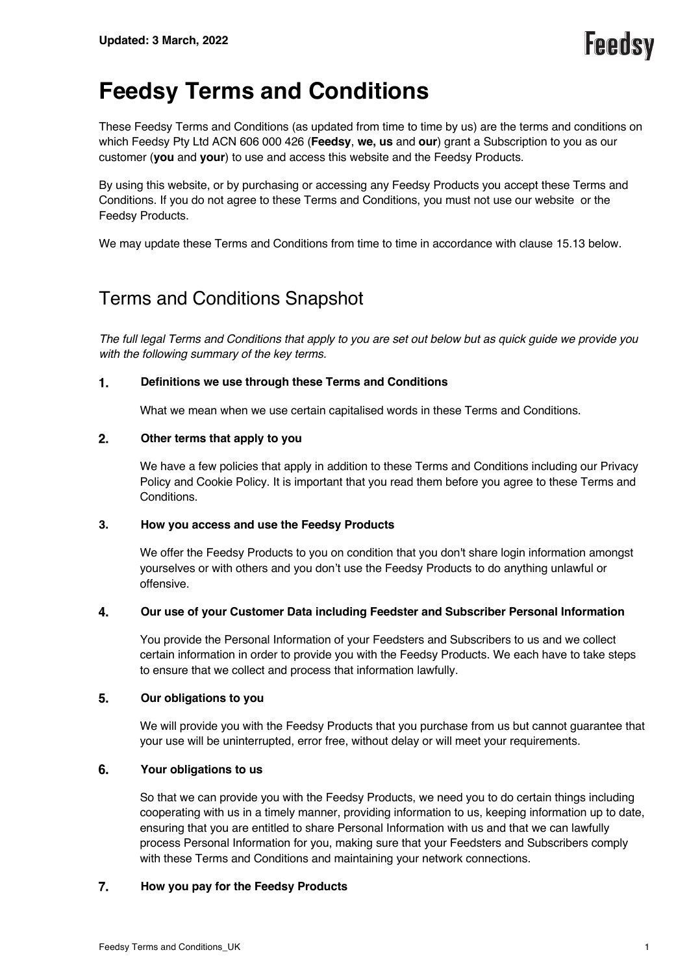# **Feedsy Terms and Conditions**

These Feedsy Terms and Conditions (as updated from time to time by us) are the terms and conditions on which Feedsy Pty Ltd ACN 606 000 426 (**Feedsy**, **we, us** and **our**) grant a Subscription to you as our customer (**you** and **your**) to use and access this website and the Feedsy Products.

By using this website, or by purchasing or accessing any Feedsy Products you accept these Terms and Conditions. If you do not agree to these Terms and Conditions, you must not use our website or the Feedsy Products.

We may update these Terms and Conditions from time to time in accordance with clause 15.13 below.

## Terms and Conditions Snapshot

*The full legal Terms and Conditions that apply to you are set out below but as quick guide we provide you with the following summary of the key terms.*

#### 1. **Definitions we use through these Terms and Conditions**

What we mean when we use certain capitalised words in these Terms and Conditions.

#### $2.$ **Other terms that apply to you**

We have a few policies that apply in addition to these Terms and Conditions including our Privacy Policy and Cookie Policy. It is important that you read them before you agree to these Terms and Conditions.

### **3. How you access and use the Feedsy Products**

We offer the Feedsy Products to you on condition that you don't share login information amongst yourselves or with others and you don't use the Feedsy Products to do anything unlawful or offensive.

#### 4. **Our use of your Customer Data including Feedster and Subscriber Personal Information**

You provide the Personal Information of your Feedsters and Subscribers to us and we collect certain information in order to provide you with the Feedsy Products. We each have to take steps to ensure that we collect and process that information lawfully.

#### 5. **Our obligations to you**

We will provide you with the Feedsy Products that you purchase from us but cannot guarantee that your use will be uninterrupted, error free, without delay or will meet your requirements.

#### 6. **Your obligations to us**

So that we can provide you with the Feedsy Products, we need you to do certain things including cooperating with us in a timely manner, providing information to us, keeping information up to date, ensuring that you are entitled to share Personal Information with us and that we can lawfully process Personal Information for you, making sure that your Feedsters and Subscribers comply with these Terms and Conditions and maintaining your network connections.

#### $7.$ **How you pay for the Feedsy Products**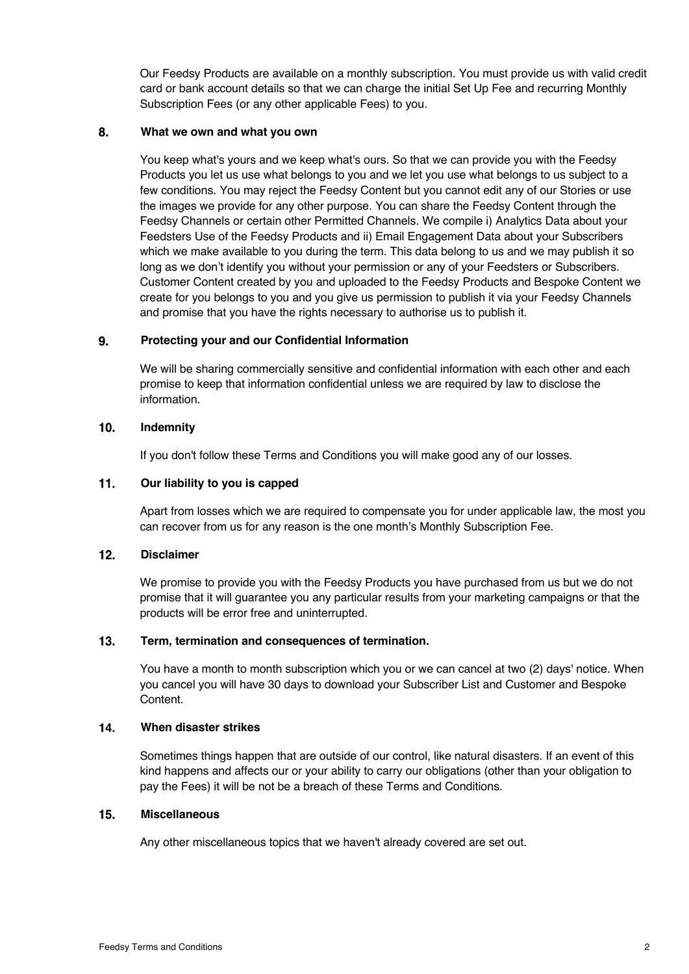Our Feedsy Products are available on a monthly subscription. You must provide us with valid credit card or bank account details so that we can charge the initial Set Up Fee and recurring Monthly Subscription Fees (or any other applicable Fees) to you.

#### 8. **What we own and what you own**

You keep what's yours and we keep what's ours. So that we can provide you with the Feedsy Products you let us use what belongs to you and we let you use what belongs to us subject to a few conditions. You may reject the Feedsy Content but you cannot edit any of our Stories or use the images we provide for any other purpose. You can share the Feedsy Content through the Feedsy Channels or certain other Permitted Channels. We compile i) Analytics Data about your Feedsters Use of the Feedsy Products and ii) Email Engagement Data about your Subscribers which we make available to you during the term. This data belong to us and we may publish it so long as we don't identify you without your permission or any of your Feedsters or Subscribers. Customer Content created by you and uploaded to the Feedsy Products and Bespoke Content we create for you belongs to you and you give us permission to publish it via your Feedsy Channels and promise that you have the rights necessary to authorise us to publish it.

#### 9. **Protecting your and our Confidential Information**

We will be sharing commercially sensitive and confidential information with each other and each promise to keep that information confidential unless we are required by law to disclose the information.

#### $10.$ **Indemnity**

If you don't follow these Terms and Conditions you will make good any of our losses.

#### $11.$ **Our liability to you is capped**

Apart from losses which we are required to compensate you for under applicable law, the most you can recover from us for any reason is the one month's Monthly Subscription Fee.

#### **Disclaimer**  $12.$

We promise to provide you with the Feedsy Products you have purchased from us but we do not promise that it will guarantee you any particular results from your marketing campaigns or that the products will be error free and uninterrupted.

#### $13.$ **Term, termination and consequences of termination.**

You have a month to month subscription which you or we can cancel at two (2) days' notice. When you cancel you will have 30 days to download your Subscriber List and Customer and Bespoke Content.

#### 14. **When disaster strikes**

Sometimes things happen that are outside of our control, like natural disasters. If an event of this kind happens and affects our or your ability to carry our obligations (other than your obligation to pay the Fees) it will be not be a breach of these Terms and Conditions.

#### $15.$ **Miscellaneous**

Any other miscellaneous topics that we haven't already covered are set out.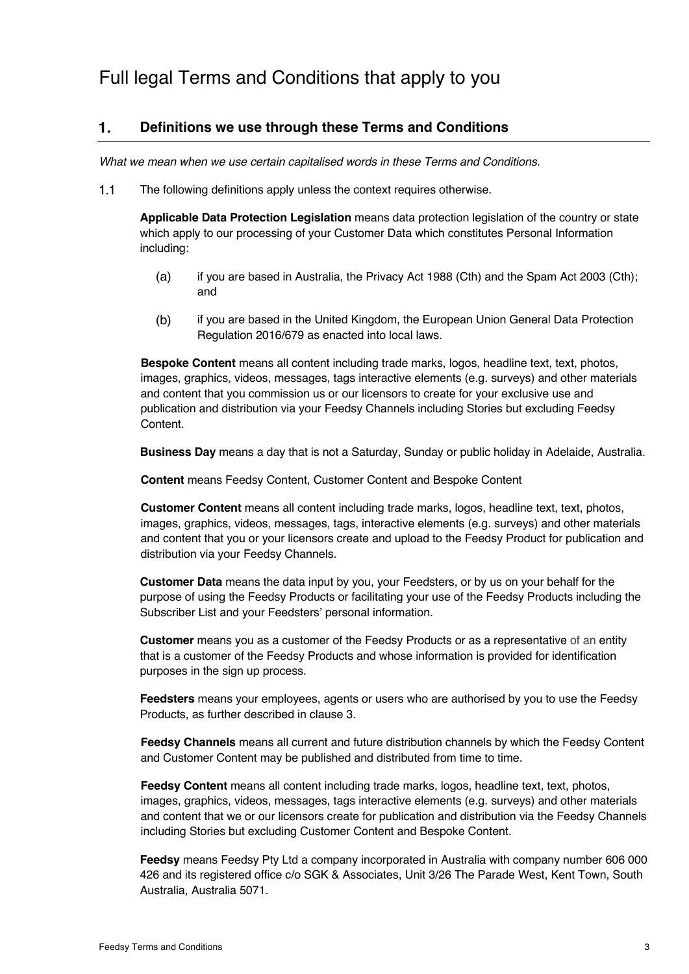#### $\mathbf{1}$ . **Definitions we use through these Terms and Conditions**

*What we mean when we use certain capitalised words in these Terms and Conditions.*

 $1.1$ The following definitions apply unless the context requires otherwise.

> **Applicable Data Protection Legislation** means data protection legislation of the country or state which apply to our processing of your Customer Data which constitutes Personal Information including:

- $(a)$ if you are based in Australia, the Privacy Act 1988 (Cth) and the Spam Act 2003 (Cth); and
- $(b)$ if you are based in the United Kingdom, the European Union General Data Protection Regulation 2016/679 as enacted into local laws.

**Bespoke Content** means all content including trade marks, logos, headline text, text, photos, images, graphics, videos, messages, tags interactive elements (e.g. surveys) and other materials and content that you commission us or our licensors to create for your exclusive use and publication and distribution via your Feedsy Channels including Stories but excluding Feedsy Content.

**Business Day** means a day that is not a Saturday, Sunday or public holiday in Adelaide, Australia.

**Content** means Feedsy Content, Customer Content and Bespoke Content

**Customer Content** means all content including trade marks, logos, headline text, text, photos, images, graphics, videos, messages, tags, interactive elements (e.g. surveys) and other materials and content that you or your licensors create and upload to the Feedsy Product for publication and distribution via your Feedsy Channels.

**Customer Data** means the data input by you, your Feedsters, or by us on your behalf for the purpose of using the Feedsy Products or facilitating your use of the Feedsy Products including the Subscriber List and your Feedsters' personal information.

**Customer** means you as a customer of the Feedsy Products or as a representative of an entity that is a customer of the Feedsy Products and whose information is provided for identification purposes in the sign up process.

**Feedsters** means your employees, agents or users who are authorised by you to use the Feedsy Products, as further described in clause 3.

**Feedsy Channels** means all current and future distribution channels by which the Feedsy Content and Customer Content may be published and distributed from time to time.

**Feedsy Content** means all content including trade marks, logos, headline text, text, photos, images, graphics, videos, messages, tags interactive elements (e.g. surveys) and other materials and content that we or our licensors create for publication and distribution via the Feedsy Channels including Stories but excluding Customer Content and Bespoke Content.

**Feedsy** means Feedsy Pty Ltd a company incorporated in Australia with company number 606 000 426 and its registered office c/o SGK & Associates, Unit 3/26 The Parade West, Kent Town, South Australia, Australia 5071.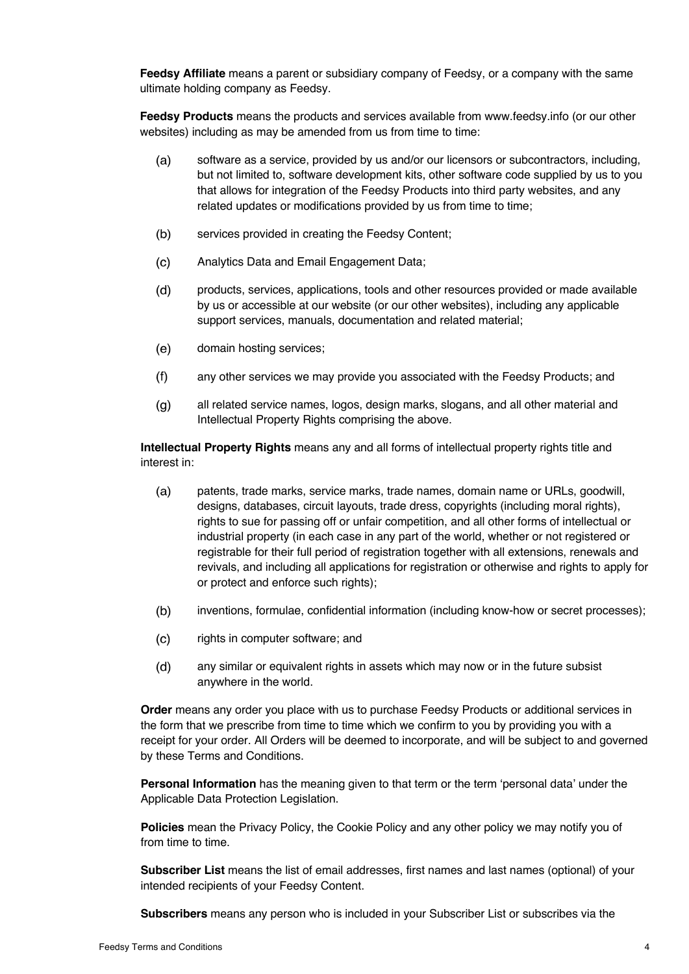**Feedsy Affiliate** means a parent or subsidiary company of Feedsy, or a company with the same ultimate holding company as Feedsy.

**Feedsy Products** means the products and services available from www.feedsy.info (or our other websites) including as may be amended from us from time to time:

- $(a)$ software as a service, provided by us and/or our licensors or subcontractors, including, but not limited to, software development kits, other software code supplied by us to you that allows for integration of the Feedsy Products into third party websites, and any related updates or modifications provided by us from time to time;
- $(b)$ services provided in creating the Feedsy Content;
- $(c)$ Analytics Data and Email Engagement Data;
- $(d)$ products, services, applications, tools and other resources provided or made available by us or accessible at our website (or our other websites), including any applicable support services, manuals, documentation and related material;
- $(e)$ domain hosting services;
- $(f)$ any other services we may provide you associated with the Feedsy Products; and
- $(q)$ all related service names, logos, design marks, slogans, and all other material and Intellectual Property Rights comprising the above.

**Intellectual Property Rights** means any and all forms of intellectual property rights title and interest in:

- $(a)$ patents, trade marks, service marks, trade names, domain name or URLs, goodwill, designs, databases, circuit layouts, trade dress, copyrights (including moral rights), rights to sue for passing off or unfair competition, and all other forms of intellectual or industrial property (in each case in any part of the world, whether or not registered or registrable for their full period of registration together with all extensions, renewals and revivals, and including all applications for registration or otherwise and rights to apply for or protect and enforce such rights);
- $(b)$ inventions, formulae, confidential information (including know-how or secret processes);
- $(c)$ rights in computer software; and
- $(d)$ any similar or equivalent rights in assets which may now or in the future subsist anywhere in the world.

**Order** means any order you place with us to purchase Feedsy Products or additional services in the form that we prescribe from time to time which we confirm to you by providing you with a receipt for your order. All Orders will be deemed to incorporate, and will be subject to and governed by these Terms and Conditions.

**Personal Information** has the meaning given to that term or the term 'personal data' under the Applicable Data Protection Legislation.

**Policies** mean the Privacy Policy, the Cookie Policy and any other policy we may notify you of from time to time.

**Subscriber List** means the list of email addresses, first names and last names (optional) of your intended recipients of your Feedsy Content.

**Subscribers** means any person who is included in your Subscriber List or subscribes via the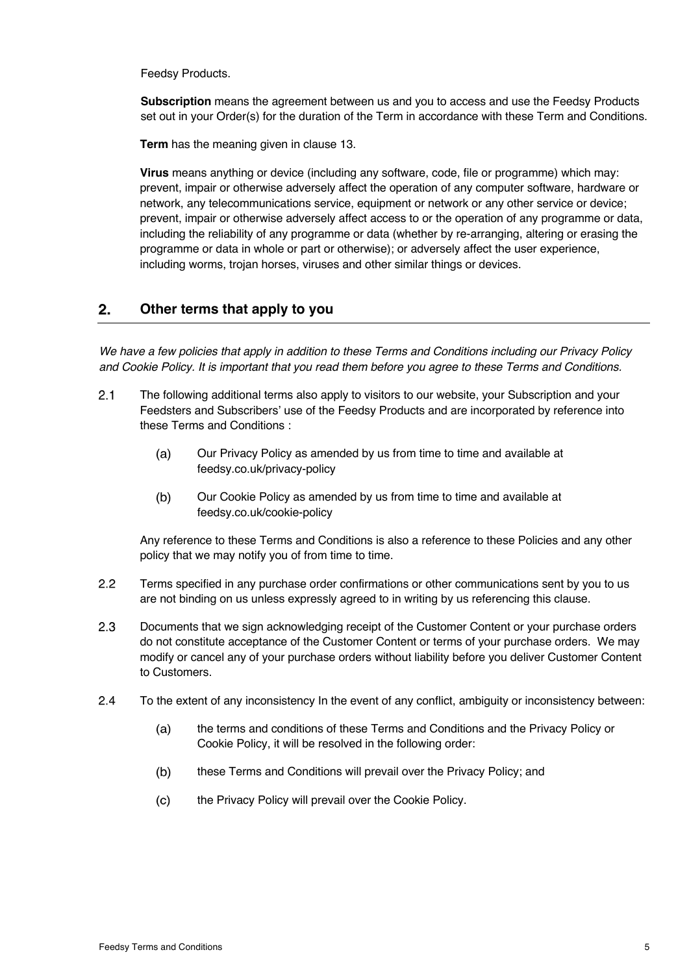Feedsy Products.

**Subscription** means the agreement between us and you to access and use the Feedsy Products set out in your Order(s) for the duration of the Term in accordance with these Term and Conditions.

**Term** has the meaning given in clause 13.

**Virus** means anything or device (including any software, code, file or programme) which may: prevent, impair or otherwise adversely affect the operation of any computer software, hardware or network, any telecommunications service, equipment or network or any other service or device; prevent, impair or otherwise adversely affect access to or the operation of any programme or data, including the reliability of any programme or data (whether by re-arranging, altering or erasing the programme or data in whole or part or otherwise); or adversely affect the user experience, including worms, trojan horses, viruses and other similar things or devices.

#### $2.$ **Other terms that apply to you**

*We have a few policies that apply in addition to these Terms and Conditions including our Privacy Policy and Cookie Policy. It is important that you read them before you agree to these Terms and Conditions.* 

- $2.1$ The following additional terms also apply to visitors to our website, your Subscription and your Feedsters and Subscribers' use of the Feedsy Products and are incorporated by reference into these Terms and Conditions :
	- $(a)$ Our Privacy Policy as amended by us from time to time and available at feedsy.co.uk/privacy-policy
	- Our Cookie Policy as amended by us from time to time and available at  $(b)$ feedsy.co.uk/cookie-policy

Any reference to these Terms and Conditions is also a reference to these Policies and any other policy that we may notify you of from time to time.

- $2.2$ Terms specified in any purchase order confirmations or other communications sent by you to us are not binding on us unless expressly agreed to in writing by us referencing this clause.
- $2.3$ Documents that we sign acknowledging receipt of the Customer Content or your purchase orders do not constitute acceptance of the Customer Content or terms of your purchase orders. We may modify or cancel any of your purchase orders without liability before you deliver Customer Content to Customers.
- $2.4$ To the extent of any inconsistency In the event of any conflict, ambiguity or inconsistency between:
	- $(a)$ the terms and conditions of these Terms and Conditions and the Privacy Policy or Cookie Policy, it will be resolved in the following order:
	- $(b)$ these Terms and Conditions will prevail over the Privacy Policy; and
	- $(c)$ the Privacy Policy will prevail over the Cookie Policy.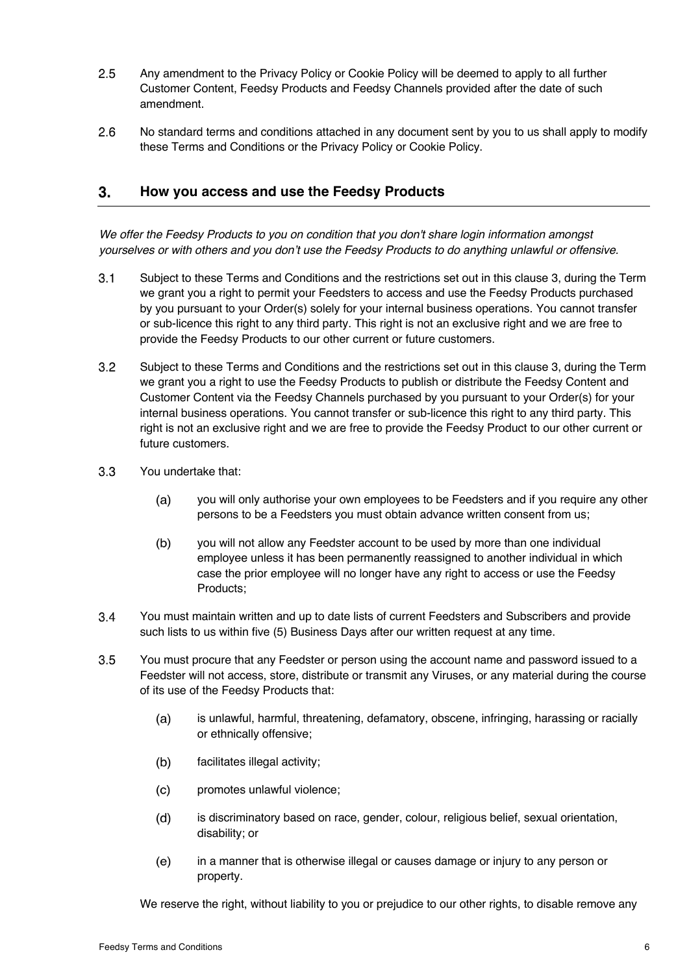- $2.5$ Any amendment to the Privacy Policy or Cookie Policy will be deemed to apply to all further Customer Content, Feedsy Products and Feedsy Channels provided after the date of such amendment.
- $2.6$ No standard terms and conditions attached in any document sent by you to us shall apply to modify these Terms and Conditions or the Privacy Policy or Cookie Policy.

#### 3. **How you access and use the Feedsy Products**

*We offer the Feedsy Products to you on condition that you don't share login information amongst yourselves or with others and you don't use the Feedsy Products to do anything unlawful or offensive.* 

- $3.1$ Subject to these Terms and Conditions and the restrictions set out in this clause 3, during the Term we grant you a right to permit your Feedsters to access and use the Feedsy Products purchased by you pursuant to your Order(s) solely for your internal business operations. You cannot transfer or sub-licence this right to any third party. This right is not an exclusive right and we are free to provide the Feedsy Products to our other current or future customers.
- $3.2$ Subject to these Terms and Conditions and the restrictions set out in this clause 3, during the Term we grant you a right to use the Feedsy Products to publish or distribute the Feedsy Content and Customer Content via the Feedsy Channels purchased by you pursuant to your Order(s) for your internal business operations. You cannot transfer or sub-licence this right to any third party. This right is not an exclusive right and we are free to provide the Feedsy Product to our other current or future customers.
- $3.3$ You undertake that:
	- $(a)$ you will only authorise your own employees to be Feedsters and if you require any other persons to be a Feedsters you must obtain advance written consent from us;
	- $(b)$ you will not allow any Feedster account to be used by more than one individual employee unless it has been permanently reassigned to another individual in which case the prior employee will no longer have any right to access or use the Feedsy Products;
- $3.4$ You must maintain written and up to date lists of current Feedsters and Subscribers and provide such lists to us within five (5) Business Days after our written request at any time.
- $3.5$ You must procure that any Feedster or person using the account name and password issued to a Feedster will not access, store, distribute or transmit any Viruses, or any material during the course of its use of the Feedsy Products that:
	- $(a)$ is unlawful, harmful, threatening, defamatory, obscene, infringing, harassing or racially or ethnically offensive;
	- $(b)$ facilitates illegal activity;
	- $(c)$ promotes unlawful violence;
	- $(d)$ is discriminatory based on race, gender, colour, religious belief, sexual orientation, disability; or
	- $(e)$ in a manner that is otherwise illegal or causes damage or injury to any person or property.

We reserve the right, without liability to you or prejudice to our other rights, to disable remove any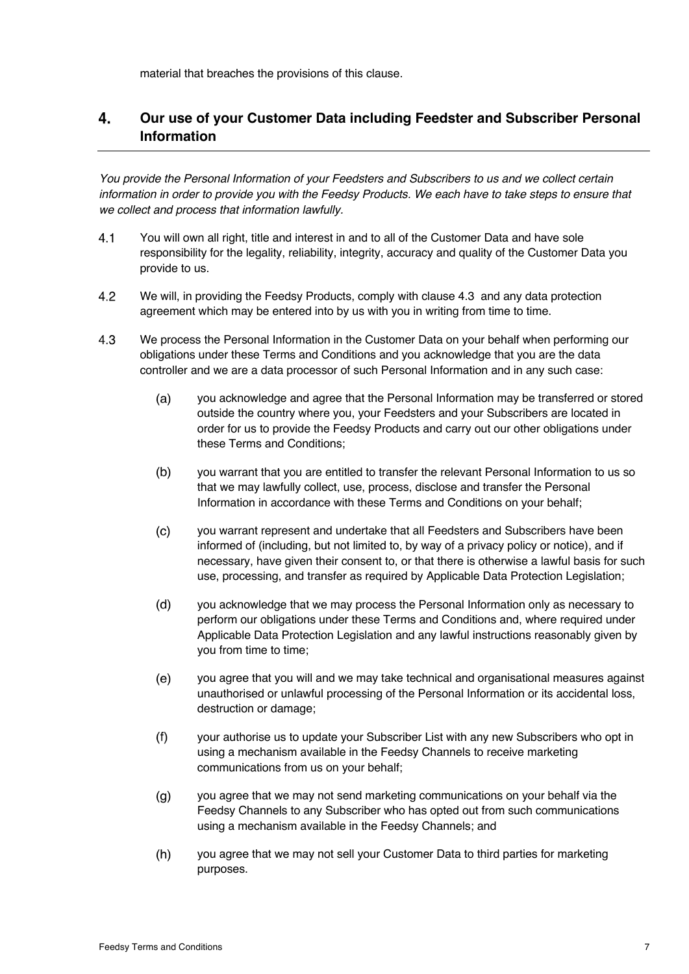material that breaches the provisions of this clause.

### 4. **Our use of your Customer Data including Feedster and Subscriber Personal Information**

*You provide the Personal Information of your Feedsters and Subscribers to us and we collect certain information in order to provide you with the Feedsy Products. We each have to take steps to ensure that we collect and process that information lawfully.* 

- $4.1$ You will own all right, title and interest in and to all of the Customer Data and have sole responsibility for the legality, reliability, integrity, accuracy and quality of the Customer Data you provide to us.
- $4.2$ We will, in providing the Feedsy Products, comply with clause 4.3 and any data protection agreement which may be entered into by us with you in writing from time to time.
- $4.3$ We process the Personal Information in the Customer Data on your behalf when performing our obligations under these Terms and Conditions and you acknowledge that you are the data controller and we are a data processor of such Personal Information and in any such case:
	- $(a)$ you acknowledge and agree that the Personal Information may be transferred or stored outside the country where you, your Feedsters and your Subscribers are located in order for us to provide the Feedsy Products and carry out our other obligations under these Terms and Conditions;
	- $(b)$ you warrant that you are entitled to transfer the relevant Personal Information to us so that we may lawfully collect, use, process, disclose and transfer the Personal Information in accordance with these Terms and Conditions on your behalf;
	- $(c)$ you warrant represent and undertake that all Feedsters and Subscribers have been informed of (including, but not limited to, by way of a privacy policy or notice), and if necessary, have given their consent to, or that there is otherwise a lawful basis for such use, processing, and transfer as required by Applicable Data Protection Legislation;
	- $(d)$ you acknowledge that we may process the Personal Information only as necessary to perform our obligations under these Terms and Conditions and, where required under Applicable Data Protection Legislation and any lawful instructions reasonably given by you from time to time;
	- $(e)$ you agree that you will and we may take technical and organisational measures against unauthorised or unlawful processing of the Personal Information or its accidental loss, destruction or damage;
	- $(f)$ your authorise us to update your Subscriber List with any new Subscribers who opt in using a mechanism available in the Feedsy Channels to receive marketing communications from us on your behalf;
	- $(q)$ you agree that we may not send marketing communications on your behalf via the Feedsy Channels to any Subscriber who has opted out from such communications using a mechanism available in the Feedsy Channels; and
	- $(h)$ you agree that we may not sell your Customer Data to third parties for marketing purposes.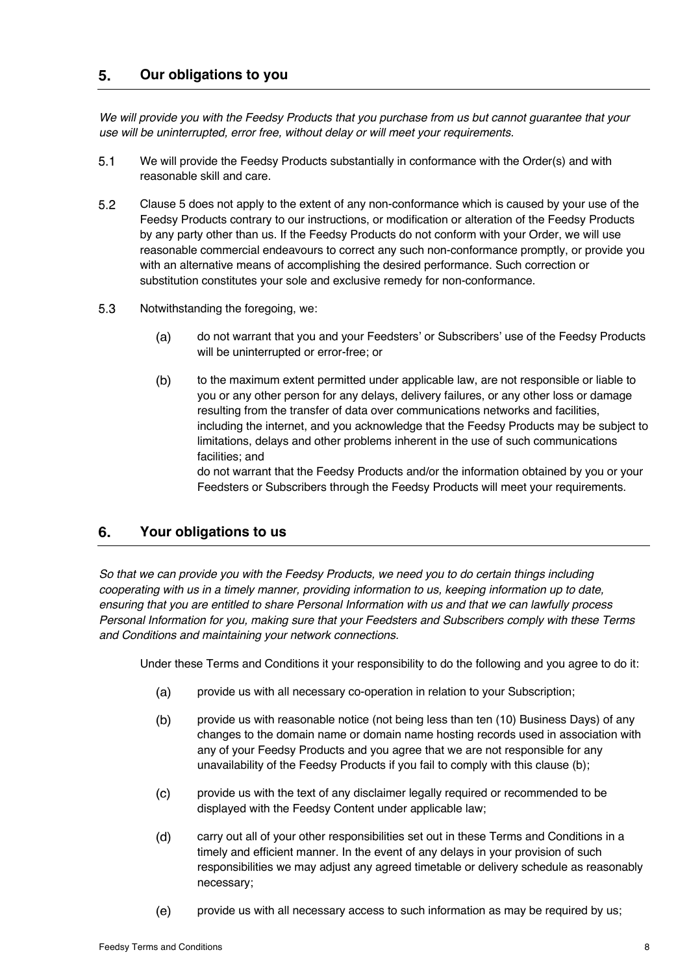#### $5<sub>1</sub>$ **Our obligations to you**

*We will provide you with the Feedsy Products that you purchase from us but cannot guarantee that your use will be uninterrupted, error free, without delay or will meet your requirements.* 

- $5.1$ We will provide the Feedsy Products substantially in conformance with the Order(s) and with reasonable skill and care.
- $5.2$ Clause 5 does not apply to the extent of any non-conformance which is caused by your use of the Feedsy Products contrary to our instructions, or modification or alteration of the Feedsy Products by any party other than us. If the Feedsy Products do not conform with your Order, we will use reasonable commercial endeavours to correct any such non-conformance promptly, or provide you with an alternative means of accomplishing the desired performance. Such correction or substitution constitutes your sole and exclusive remedy for non-conformance.
- $5.3$ Notwithstanding the foregoing, we:
	- $(a)$ do not warrant that you and your Feedsters' or Subscribers' use of the Feedsy Products will be uninterrupted or error-free; or
	- $(b)$ to the maximum extent permitted under applicable law, are not responsible or liable to you or any other person for any delays, delivery failures, or any other loss or damage resulting from the transfer of data over communications networks and facilities, including the internet, and you acknowledge that the Feedsy Products may be subject to limitations, delays and other problems inherent in the use of such communications facilities; and

do not warrant that the Feedsy Products and/or the information obtained by you or your Feedsters or Subscribers through the Feedsy Products will meet your requirements.

#### 6. **Your obligations to us**

*So that we can provide you with the Feedsy Products, we need you to do certain things including cooperating with us in a timely manner, providing information to us, keeping information up to date, ensuring that you are entitled to share Personal Information with us and that we can lawfully process Personal Information for you, making sure that your Feedsters and Subscribers comply with these Terms and Conditions and maintaining your network connections.* 

Under these Terms and Conditions it your responsibility to do the following and you agree to do it:

- $(a)$ provide us with all necessary co-operation in relation to your Subscription;
- provide us with reasonable notice (not being less than ten (10) Business Days) of any  $(b)$ changes to the domain name or domain name hosting records used in association with any of your Feedsy Products and you agree that we are not responsible for any unavailability of the Feedsy Products if you fail to comply with this clause (b);
- $(c)$ provide us with the text of any disclaimer legally required or recommended to be displayed with the Feedsy Content under applicable law;
- $(d)$ carry out all of your other responsibilities set out in these Terms and Conditions in a timely and efficient manner. In the event of any delays in your provision of such responsibilities we may adjust any agreed timetable or delivery schedule as reasonably necessary;
- $(e)$ provide us with all necessary access to such information as may be required by us;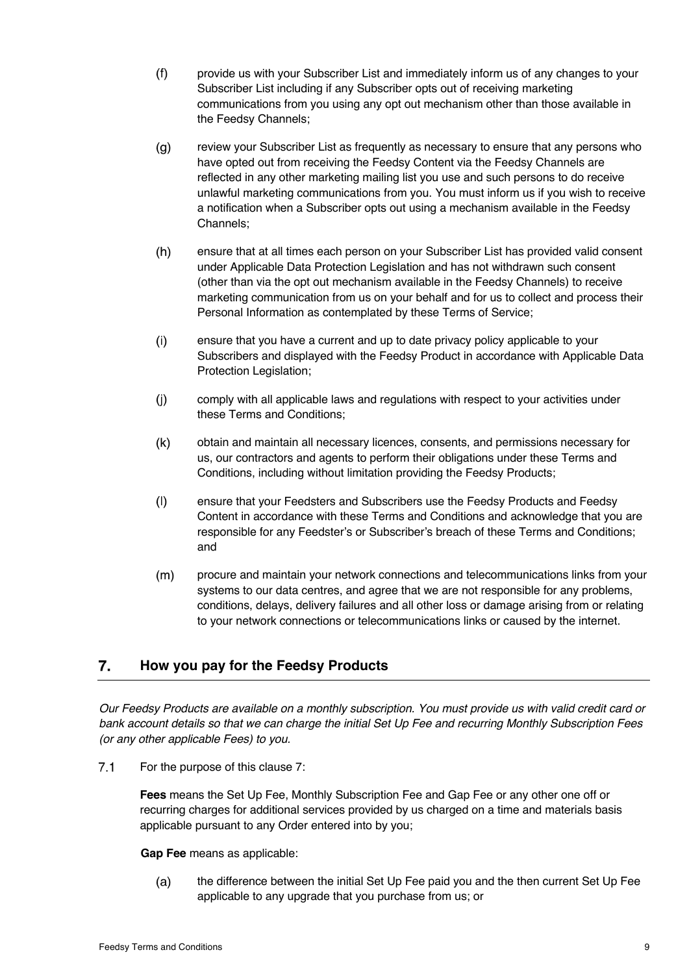- $(f)$ provide us with your Subscriber List and immediately inform us of any changes to your Subscriber List including if any Subscriber opts out of receiving marketing communications from you using any opt out mechanism other than those available in the Feedsy Channels;
- $(g)$ review your Subscriber List as frequently as necessary to ensure that any persons who have opted out from receiving the Feedsy Content via the Feedsy Channels are reflected in any other marketing mailing list you use and such persons to do receive unlawful marketing communications from you. You must inform us if you wish to receive a notification when a Subscriber opts out using a mechanism available in the Feedsy Channels;
- $(h)$ ensure that at all times each person on your Subscriber List has provided valid consent under Applicable Data Protection Legislation and has not withdrawn such consent (other than via the opt out mechanism available in the Feedsy Channels) to receive marketing communication from us on your behalf and for us to collect and process their Personal Information as contemplated by these Terms of Service;
- $(i)$ ensure that you have a current and up to date privacy policy applicable to your Subscribers and displayed with the Feedsy Product in accordance with Applicable Data Protection Legislation;
- $(i)$ comply with all applicable laws and regulations with respect to your activities under these Terms and Conditions;
- $(k)$ obtain and maintain all necessary licences, consents, and permissions necessary for us, our contractors and agents to perform their obligations under these Terms and Conditions, including without limitation providing the Feedsy Products;
- $(1)$ ensure that your Feedsters and Subscribers use the Feedsy Products and Feedsy Content in accordance with these Terms and Conditions and acknowledge that you are responsible for any Feedster's or Subscriber's breach of these Terms and Conditions; and
- $(m)$ procure and maintain your network connections and telecommunications links from your systems to our data centres, and agree that we are not responsible for any problems, conditions, delays, delivery failures and all other loss or damage arising from or relating to your network connections or telecommunications links or caused by the internet.

#### 7. **How you pay for the Feedsy Products**

*Our Feedsy Products are available on a monthly subscription. You must provide us with valid credit card or bank account details so that we can charge the initial Set Up Fee and recurring Monthly Subscription Fees (or any other applicable Fees) to you.* 

 $7.1$ For the purpose of this clause 7:

> **Fees** means the Set Up Fee, Monthly Subscription Fee and Gap Fee or any other one off or recurring charges for additional services provided by us charged on a time and materials basis applicable pursuant to any Order entered into by you;

### **Gap Fee** means as applicable:

the difference between the initial Set Up Fee paid you and the then current Set Up Fee  $(a)$ applicable to any upgrade that you purchase from us; or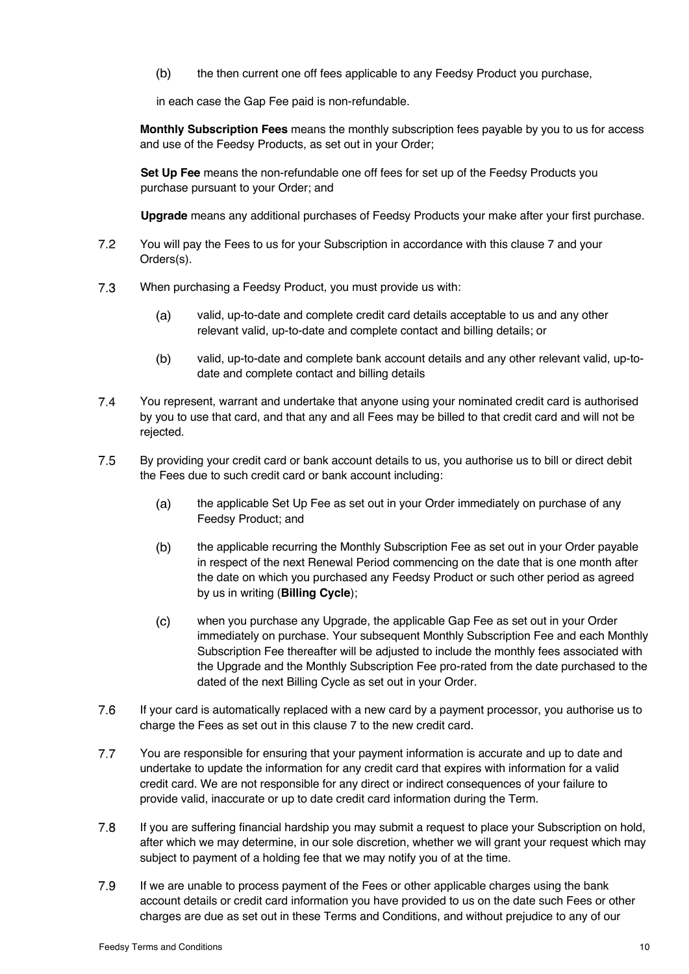$(b)$ the then current one off fees applicable to any Feedsy Product you purchase,

in each case the Gap Fee paid is non-refundable.

**Monthly Subscription Fees** means the monthly subscription fees payable by you to us for access and use of the Feedsy Products, as set out in your Order;

**Set Up Fee** means the non-refundable one off fees for set up of the Feedsy Products you purchase pursuant to your Order; and

**Upgrade** means any additional purchases of Feedsy Products your make after your first purchase.

- $7.2$ You will pay the Fees to us for your Subscription in accordance with this clause 7 and your Orders(s).
- $7.3$ When purchasing a Feedsy Product, you must provide us with:
	- $(a)$ valid, up-to-date and complete credit card details acceptable to us and any other relevant valid, up-to-date and complete contact and billing details; or
	- $(b)$ valid, up-to-date and complete bank account details and any other relevant valid, up-todate and complete contact and billing details
- $7.4$ You represent, warrant and undertake that anyone using your nominated credit card is authorised by you to use that card, and that any and all Fees may be billed to that credit card and will not be rejected.
- $7.5$ By providing your credit card or bank account details to us, you authorise us to bill or direct debit the Fees due to such credit card or bank account including:
	- $(a)$ the applicable Set Up Fee as set out in your Order immediately on purchase of any Feedsy Product; and
	- $(b)$ the applicable recurring the Monthly Subscription Fee as set out in your Order payable in respect of the next Renewal Period commencing on the date that is one month after the date on which you purchased any Feedsy Product or such other period as agreed by us in writing (**Billing Cycle**);
	- $(c)$ when you purchase any Upgrade, the applicable Gap Fee as set out in your Order immediately on purchase. Your subsequent Monthly Subscription Fee and each Monthly Subscription Fee thereafter will be adjusted to include the monthly fees associated with the Upgrade and the Monthly Subscription Fee pro-rated from the date purchased to the dated of the next Billing Cycle as set out in your Order.
- 7.6 If your card is automatically replaced with a new card by a payment processor, you authorise us to charge the Fees as set out in this clause 7 to the new credit card.
- $7.7$ You are responsible for ensuring that your payment information is accurate and up to date and undertake to update the information for any credit card that expires with information for a valid credit card. We are not responsible for any direct or indirect consequences of your failure to provide valid, inaccurate or up to date credit card information during the Term.
- $7.8$ If you are suffering financial hardship you may submit a request to place your Subscription on hold, after which we may determine, in our sole discretion, whether we will grant your request which may subject to payment of a holding fee that we may notify you of at the time.
- 7.9 If we are unable to process payment of the Fees or other applicable charges using the bank account details or credit card information you have provided to us on the date such Fees or other charges are due as set out in these Terms and Conditions, and without prejudice to any of our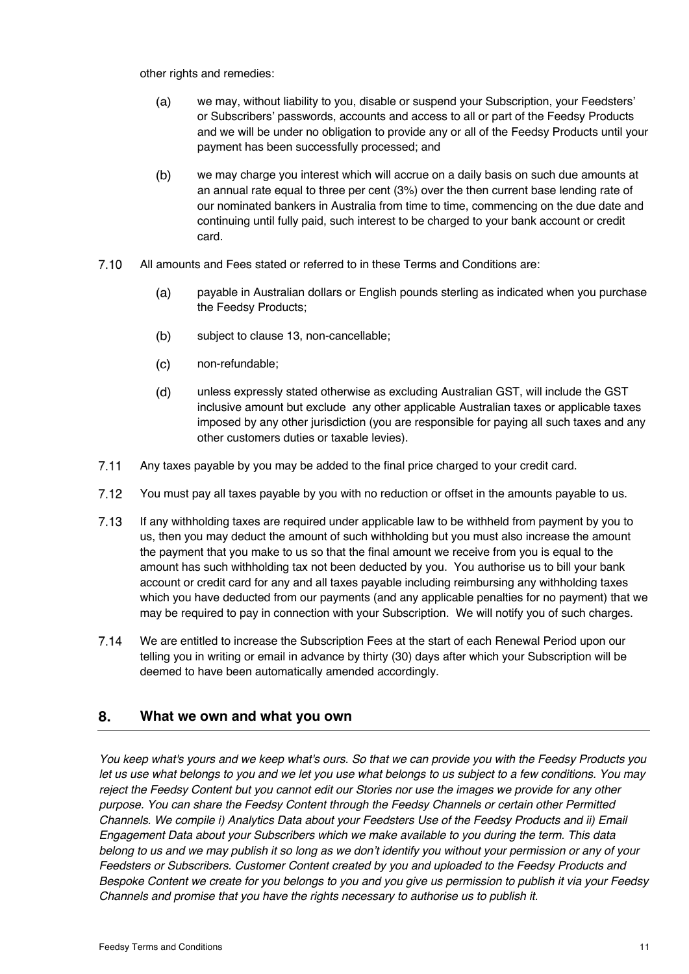other rights and remedies:

- we may, without liability to you, disable or suspend your Subscription, your Feedsters'  $(a)$ or Subscribers' passwords, accounts and access to all or part of the Feedsy Products and we will be under no obligation to provide any or all of the Feedsy Products until your payment has been successfully processed; and
- $(b)$ we may charge you interest which will accrue on a daily basis on such due amounts at an annual rate equal to three per cent (3%) over the then current base lending rate of our nominated bankers in Australia from time to time, commencing on the due date and continuing until fully paid, such interest to be charged to your bank account or credit card.
- $7.10$ All amounts and Fees stated or referred to in these Terms and Conditions are:
	- payable in Australian dollars or English pounds sterling as indicated when you purchase  $(a)$ the Feedsy Products;
	- $(b)$ subject to clause 13, non-cancellable;
	- $(c)$ non-refundable;
	- $(d)$ unless expressly stated otherwise as excluding Australian GST, will include the GST inclusive amount but exclude any other applicable Australian taxes or applicable taxes imposed by any other jurisdiction (you are responsible for paying all such taxes and any other customers duties or taxable levies).
- $7.11$ Any taxes payable by you may be added to the final price charged to your credit card.
- $7.12$ You must pay all taxes payable by you with no reduction or offset in the amounts payable to us.
- $7.13$ If any withholding taxes are required under applicable law to be withheld from payment by you to us, then you may deduct the amount of such withholding but you must also increase the amount the payment that you make to us so that the final amount we receive from you is equal to the amount has such withholding tax not been deducted by you. You authorise us to bill your bank account or credit card for any and all taxes payable including reimbursing any withholding taxes which you have deducted from our payments (and any applicable penalties for no payment) that we may be required to pay in connection with your Subscription. We will notify you of such charges.
- $7.14$ We are entitled to increase the Subscription Fees at the start of each Renewal Period upon our telling you in writing or email in advance by thirty (30) days after which your Subscription will be deemed to have been automatically amended accordingly.

#### 8. **What we own and what you own**

*You keep what's yours and we keep what's ours. So that we can provide you with the Feedsy Products you let us use what belongs to you and we let you use what belongs to us subject to a few conditions. You may reject the Feedsy Content but you cannot edit our Stories nor use the images we provide for any other purpose. You can share the Feedsy Content through the Feedsy Channels or certain other Permitted Channels. We compile i) Analytics Data about your Feedsters Use of the Feedsy Products and ii) Email Engagement Data about your Subscribers which we make available to you during the term. This data belong to us and we may publish it so long as we don't identify you without your permission or any of your Feedsters or Subscribers. Customer Content created by you and uploaded to the Feedsy Products and Bespoke Content we create for you belongs to you and you give us permission to publish it via your Feedsy Channels and promise that you have the rights necessary to authorise us to publish it.*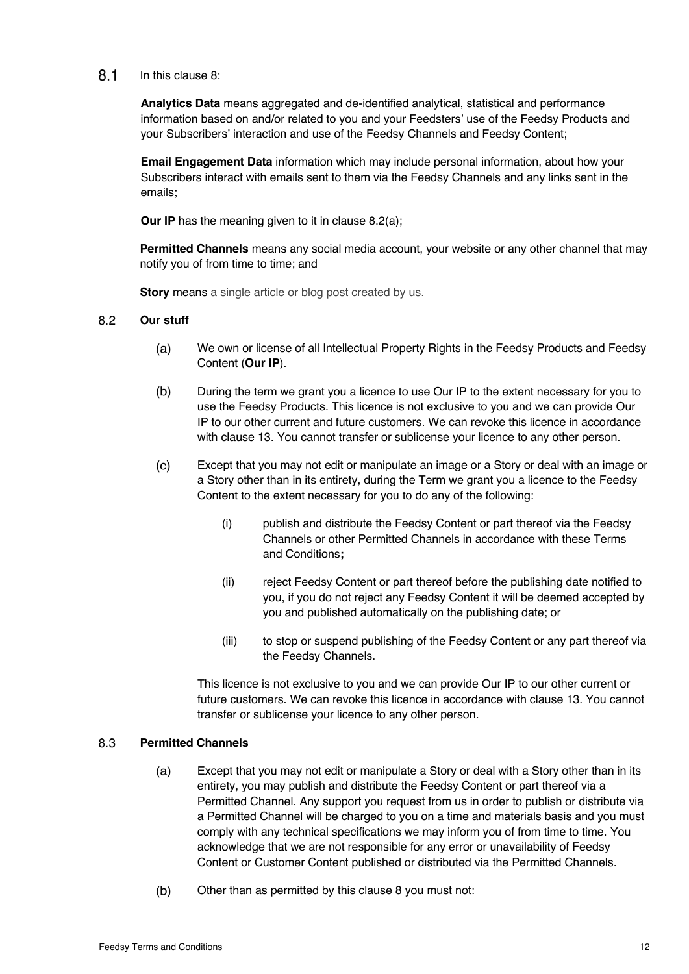#### $8.1$ In this clause 8:

**Analytics Data** means aggregated and de-identified analytical, statistical and performance information based on and/or related to you and your Feedsters' use of the Feedsy Products and your Subscribers' interaction and use of the Feedsy Channels and Feedsy Content;

**Email Engagement Data** information which may include personal information, about how your Subscribers interact with emails sent to them via the Feedsy Channels and any links sent in the emails;

**Our IP** has the meaning given to it in clause 8.2(a);

**Permitted Channels** means any social media account, your website or any other channel that may notify you of from time to time; and

**Story** means a single article or blog post created by us.

#### $8.2$ **Our stuff**

- $(a)$ We own or license of all Intellectual Property Rights in the Feedsy Products and Feedsy Content (**Our IP**).
- $(b)$ During the term we grant you a licence to use Our IP to the extent necessary for you to use the Feedsy Products. This licence is not exclusive to you and we can provide Our IP to our other current and future customers. We can revoke this licence in accordance with clause 13. You cannot transfer or sublicense your licence to any other person.
- $(c)$ Except that you may not edit or manipulate an image or a Story or deal with an image or a Story other than in its entirety, during the Term we grant you a licence to the Feedsy Content to the extent necessary for you to do any of the following:
	- (i) publish and distribute the Feedsy Content or part thereof via the Feedsy Channels or other Permitted Channels in accordance with these Terms and Conditions**;**
	- (ii) reject Feedsy Content or part thereof before the publishing date notified to you, if you do not reject any Feedsy Content it will be deemed accepted by you and published automatically on the publishing date; or
	- (iii) to stop or suspend publishing of the Feedsy Content or any part thereof via the Feedsy Channels.

This licence is not exclusive to you and we can provide Our IP to our other current or future customers. We can revoke this licence in accordance with clause 13. You cannot transfer or sublicense your licence to any other person.

#### **Permitted Channels**  8.3

- $(a)$ Except that you may not edit or manipulate a Story or deal with a Story other than in its entirety, you may publish and distribute the Feedsy Content or part thereof via a Permitted Channel. Any support you request from us in order to publish or distribute via a Permitted Channel will be charged to you on a time and materials basis and you must comply with any technical specifications we may inform you of from time to time. You acknowledge that we are not responsible for any error or unavailability of Feedsy Content or Customer Content published or distributed via the Permitted Channels.
- $(b)$ Other than as permitted by this clause 8 you must not: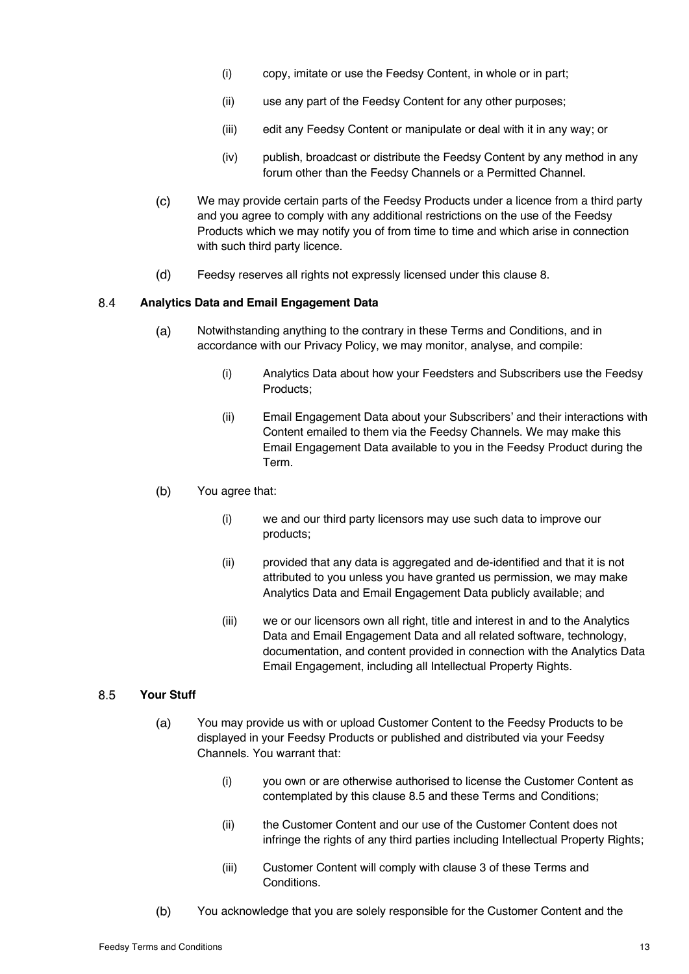- (i) copy, imitate or use the Feedsy Content, in whole or in part;
- (ii) use any part of the Feedsy Content for any other purposes;
- (iii) edit any Feedsy Content or manipulate or deal with it in any way; or
- (iv) publish, broadcast or distribute the Feedsy Content by any method in any forum other than the Feedsy Channels or a Permitted Channel.
- $(c)$ We may provide certain parts of the Feedsy Products under a licence from a third party and you agree to comply with any additional restrictions on the use of the Feedsy Products which we may notify you of from time to time and which arise in connection with such third party licence.
- $(d)$ Feedsy reserves all rights not expressly licensed under this clause 8.

#### 8.4 **Analytics Data and Email Engagement Data**

- $(a)$ Notwithstanding anything to the contrary in these Terms and Conditions, and in accordance with our Privacy Policy, we may monitor, analyse, and compile:
	- (i) Analytics Data about how your Feedsters and Subscribers use the Feedsy Products;
	- (ii) Email Engagement Data about your Subscribers' and their interactions with Content emailed to them via the Feedsy Channels. We may make this Email Engagement Data available to you in the Feedsy Product during the Term.
- $(b)$ You agree that:
	- (i) we and our third party licensors may use such data to improve our products;
	- (ii) provided that any data is aggregated and de-identified and that it is not attributed to you unless you have granted us permission, we may make Analytics Data and Email Engagement Data publicly available; and
	- (iii) we or our licensors own all right, title and interest in and to the Analytics Data and Email Engagement Data and all related software, technology, documentation, and content provided in connection with the Analytics Data Email Engagement, including all Intellectual Property Rights.

#### 8.5 **Your Stuff**

- $(a)$ You may provide us with or upload Customer Content to the Feedsy Products to be displayed in your Feedsy Products or published and distributed via your Feedsy Channels. You warrant that:
	- (i) you own or are otherwise authorised to license the Customer Content as contemplated by this clause 8.5 and these Terms and Conditions;
	- (ii) the Customer Content and our use of the Customer Content does not infringe the rights of any third parties including Intellectual Property Rights;
	- (iii) Customer Content will comply with clause 3 of these Terms and Conditions.
- $(b)$ You acknowledge that you are solely responsible for the Customer Content and the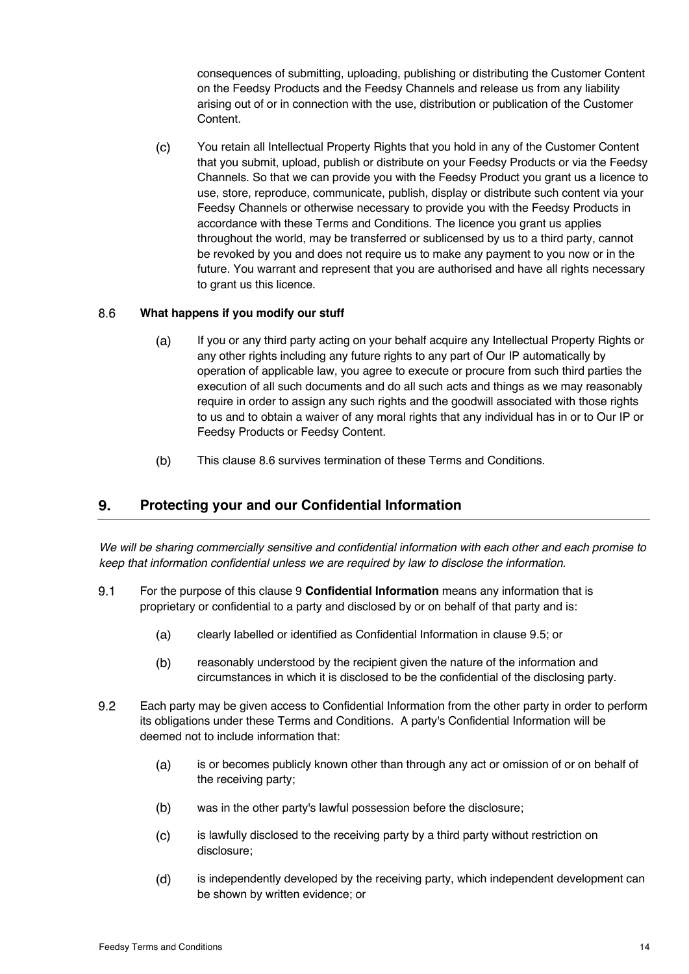consequences of submitting, uploading, publishing or distributing the Customer Content on the Feedsy Products and the Feedsy Channels and release us from any liability arising out of or in connection with the use, distribution or publication of the Customer Content.

 $(c)$ You retain all Intellectual Property Rights that you hold in any of the Customer Content that you submit, upload, publish or distribute on your Feedsy Products or via the Feedsy Channels. So that we can provide you with the Feedsy Product you grant us a licence to use, store, reproduce, communicate, publish, display or distribute such content via your Feedsy Channels or otherwise necessary to provide you with the Feedsy Products in accordance with these Terms and Conditions. The licence you grant us applies throughout the world, may be transferred or sublicensed by us to a third party, cannot be revoked by you and does not require us to make any payment to you now or in the future. You warrant and represent that you are authorised and have all rights necessary to grant us this licence.

#### 8.6 **What happens if you modify our stuff**

- $(a)$ If you or any third party acting on your behalf acquire any Intellectual Property Rights or any other rights including any future rights to any part of Our IP automatically by operation of applicable law, you agree to execute or procure from such third parties the execution of all such documents and do all such acts and things as we may reasonably require in order to assign any such rights and the goodwill associated with those rights to us and to obtain a waiver of any moral rights that any individual has in or to Our IP or Feedsy Products or Feedsy Content.
- $(b)$ This clause 8.6 survives termination of these Terms and Conditions.

#### 9. **Protecting your and our Confidential Information**

*We will be sharing commercially sensitive and confidential information with each other and each promise to keep that information confidential unless we are required by law to disclose the information.*

- $9.1$ For the purpose of this clause 9 **Confidential Information** means any information that is proprietary or confidential to a party and disclosed by or on behalf of that party and is:
	- clearly labelled or identified as Confidential Information in clause 9.5; or  $(a)$
	- $(b)$ reasonably understood by the recipient given the nature of the information and circumstances in which it is disclosed to be the confidential of the disclosing party.
- $9.2$ Each party may be given access to Confidential Information from the other party in order to perform its obligations under these Terms and Conditions. A party's Confidential Information will be deemed not to include information that:
	- $(a)$ is or becomes publicly known other than through any act or omission of or on behalf of the receiving party;
	- was in the other party's lawful possession before the disclosure;  $(b)$
	- $(c)$ is lawfully disclosed to the receiving party by a third party without restriction on disclosure;
	- $(d)$ is independently developed by the receiving party, which independent development can be shown by written evidence; or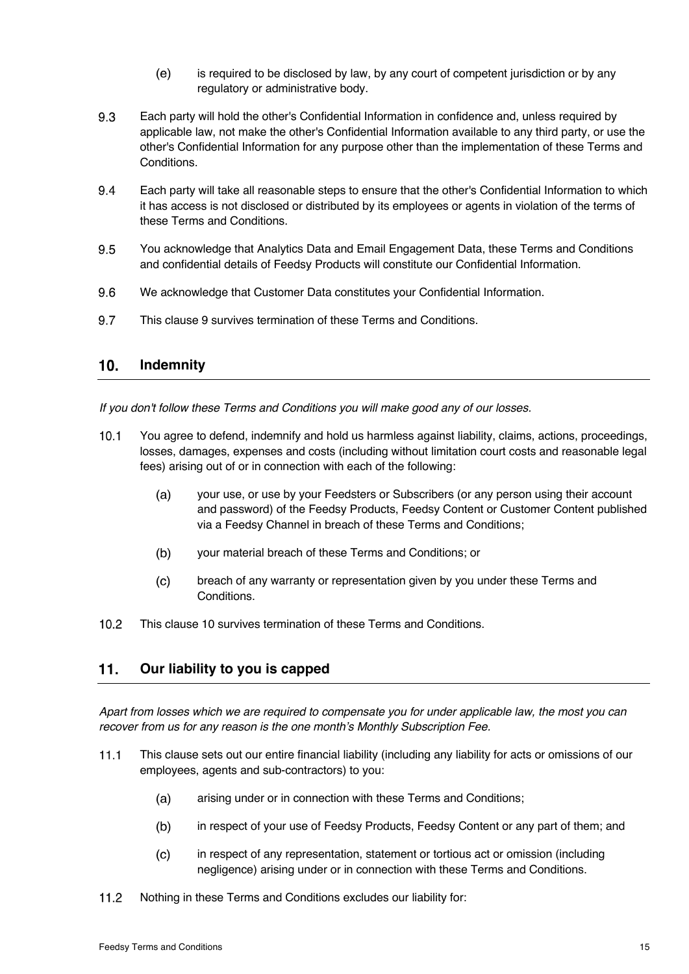- $(e)$ is required to be disclosed by law, by any court of competent jurisdiction or by any regulatory or administrative body.
- 9.3 Each party will hold the other's Confidential Information in confidence and, unless required by applicable law, not make the other's Confidential Information available to any third party, or use the other's Confidential Information for any purpose other than the implementation of these Terms and Conditions.
- 9.4 Each party will take all reasonable steps to ensure that the other's Confidential Information to which it has access is not disclosed or distributed by its employees or agents in violation of the terms of these Terms and Conditions.
- 9.5 You acknowledge that Analytics Data and Email Engagement Data, these Terms and Conditions and confidential details of Feedsy Products will constitute our Confidential Information.
- 9.6 We acknowledge that Customer Data constitutes your Confidential Information.
- 9.7 This clause 9 survives termination of these Terms and Conditions.

#### $10<sub>1</sub>$ **Indemnity**

*If you don't follow these Terms and Conditions you will make good any of our losses.* 

- You agree to defend, indemnify and hold us harmless against liability, claims, actions, proceedings,  $10.1$ losses, damages, expenses and costs (including without limitation court costs and reasonable legal fees) arising out of or in connection with each of the following:
	- $(a)$ your use, or use by your Feedsters or Subscribers (or any person using their account and password) of the Feedsy Products, Feedsy Content or Customer Content published via a Feedsy Channel in breach of these Terms and Conditions;
	- $(b)$ your material breach of these Terms and Conditions; or
	- breach of any warranty or representation given by you under these Terms and  $(c)$ Conditions.
- $10.2$ This clause 10 survives termination of these Terms and Conditions.

#### $11.$ **Our liability to you is capped**

*Apart from losses which we are required to compensate you for under applicable law, the most you can recover from us for any reason is the one month's Monthly Subscription Fee.* 

- $11.1$ This clause sets out our entire financial liability (including any liability for acts or omissions of our employees, agents and sub-contractors) to you:
	- $(a)$ arising under or in connection with these Terms and Conditions;
	- $(b)$ in respect of your use of Feedsy Products, Feedsy Content or any part of them; and
	- $(c)$ in respect of any representation, statement or tortious act or omission (including negligence) arising under or in connection with these Terms and Conditions.
- $11.2$ Nothing in these Terms and Conditions excludes our liability for: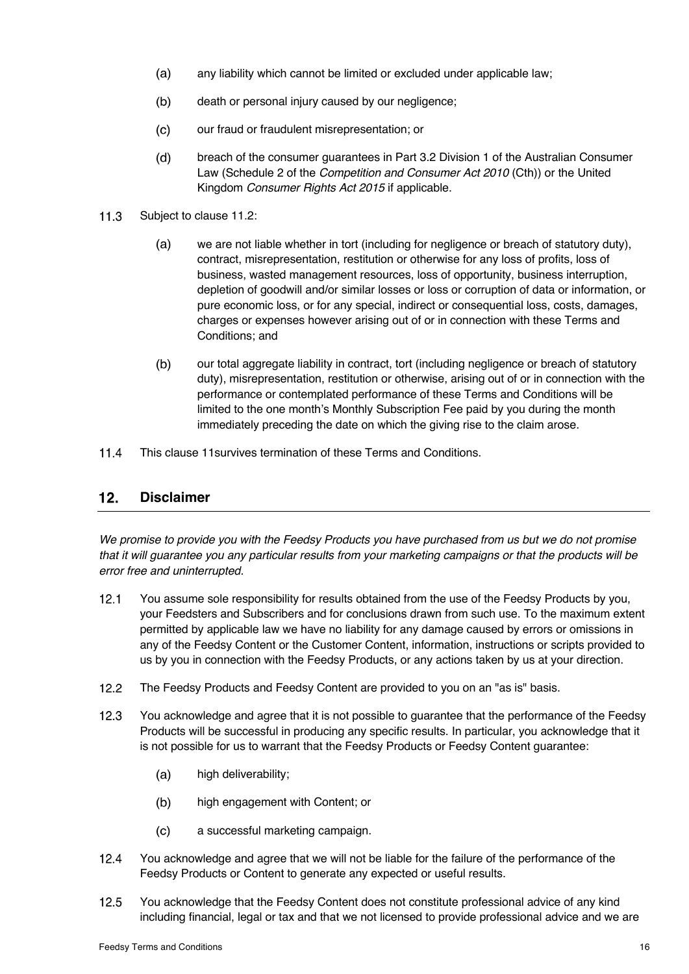- $(a)$ any liability which cannot be limited or excluded under applicable law;
- $(b)$ death or personal injury caused by our negligence;
- $(c)$ our fraud or fraudulent misrepresentation; or
- $(d)$ breach of the consumer guarantees in Part 3.2 Division 1 of the Australian Consumer Law (Schedule 2 of the *Competition and Consumer Act 2010* (Cth)) or the United Kingdom *Consumer Rights Act 2015* if applicable.
- $11.3$ Subject to clause 11.2:
	- $(a)$ we are not liable whether in tort (including for negligence or breach of statutory duty), contract, misrepresentation, restitution or otherwise for any loss of profits, loss of business, wasted management resources, loss of opportunity, business interruption, depletion of goodwill and/or similar losses or loss or corruption of data or information, or pure economic loss, or for any special, indirect or consequential loss, costs, damages, charges or expenses however arising out of or in connection with these Terms and Conditions; and
	- $(b)$ our total aggregate liability in contract, tort (including negligence or breach of statutory duty), misrepresentation, restitution or otherwise, arising out of or in connection with the performance or contemplated performance of these Terms and Conditions will be limited to the one month's Monthly Subscription Fee paid by you during the month immediately preceding the date on which the giving rise to the claim arose.
- $11.4$ This clause 11survives termination of these Terms and Conditions.

#### $12.$ **Disclaimer**

*We promise to provide you with the Feedsy Products you have purchased from us but we do not promise that it will guarantee you any particular results from your marketing campaigns or that the products will be error free and uninterrupted.* 

- $12.1$ You assume sole responsibility for results obtained from the use of the Feedsy Products by you, your Feedsters and Subscribers and for conclusions drawn from such use. To the maximum extent permitted by applicable law we have no liability for any damage caused by errors or omissions in any of the Feedsy Content or the Customer Content, information, instructions or scripts provided to us by you in connection with the Feedsy Products, or any actions taken by us at your direction.
- $12.2$ The Feedsy Products and Feedsy Content are provided to you on an "as is" basis.
- $12.3$ You acknowledge and agree that it is not possible to guarantee that the performance of the Feedsy Products will be successful in producing any specific results. In particular, you acknowledge that it is not possible for us to warrant that the Feedsy Products or Feedsy Content guarantee:
	- high deliverability;  $(a)$
	- $(b)$ high engagement with Content; or
	- $(c)$ a successful marketing campaign.
- $12.4$ You acknowledge and agree that we will not be liable for the failure of the performance of the Feedsy Products or Content to generate any expected or useful results.
- $12.5$ You acknowledge that the Feedsy Content does not constitute professional advice of any kind including financial, legal or tax and that we not licensed to provide professional advice and we are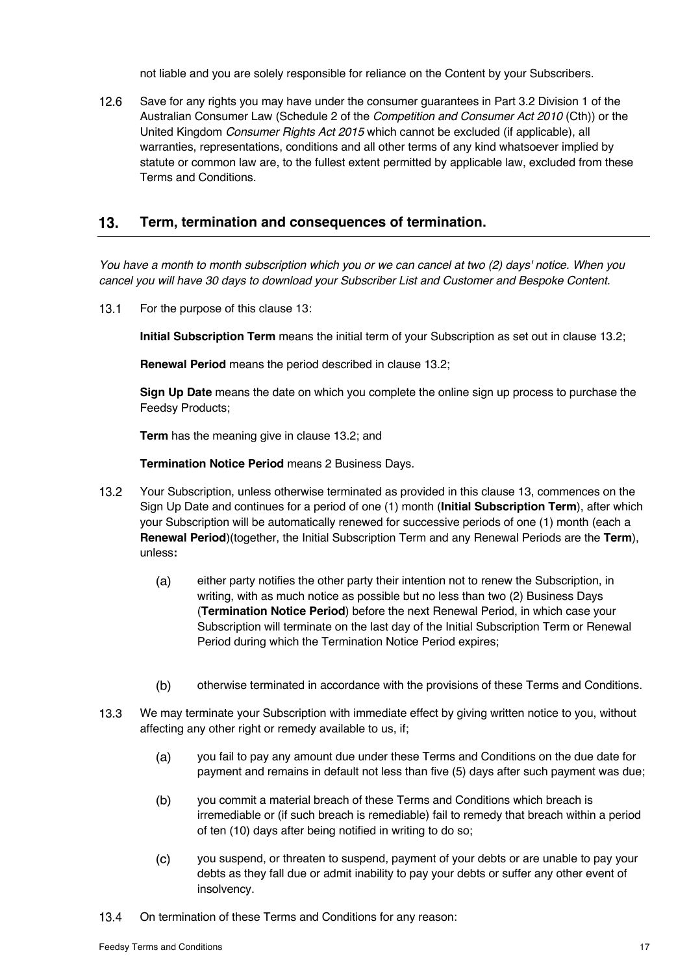not liable and you are solely responsible for reliance on the Content by your Subscribers.

 $12.6$ Save for any rights you may have under the consumer guarantees in Part 3.2 Division 1 of the Australian Consumer Law (Schedule 2 of the *Competition and Consumer Act 2010* (Cth)) or the United Kingdom *Consumer Rights Act 2015* which cannot be excluded (if applicable), all warranties, representations, conditions and all other terms of any kind whatsoever implied by statute or common law are, to the fullest extent permitted by applicable law, excluded from these Terms and Conditions.

#### $13.$ **Term, termination and consequences of termination.**

*You have a month to month subscription which you or we can cancel at two (2) days' notice. When you cancel you will have 30 days to download your Subscriber List and Customer and Bespoke Content.* 

 $13.1$ For the purpose of this clause 13:

**Initial Subscription Term** means the initial term of your Subscription as set out in clause 13.2;

**Renewal Period** means the period described in clause 13.2;

**Sign Up Date** means the date on which you complete the online sign up process to purchase the Feedsy Products;

**Term** has the meaning give in clause 13.2; and

**Termination Notice Period** means 2 Business Days.

- $13.2<sub>2</sub>$ Your Subscription, unless otherwise terminated as provided in this clause 13, commences on the Sign Up Date and continues for a period of one (1) month (**Initial Subscription Term**), after which your Subscription will be automatically renewed for successive periods of one (1) month (each a **Renewal Period**)(together, the Initial Subscription Term and any Renewal Periods are the **Term**), unless**:** 
	- $(a)$ either party notifies the other party their intention not to renew the Subscription, in writing, with as much notice as possible but no less than two (2) Business Days (**Termination Notice Period**) before the next Renewal Period, in which case your Subscription will terminate on the last day of the Initial Subscription Term or Renewal Period during which the Termination Notice Period expires;
	- $(b)$ otherwise terminated in accordance with the provisions of these Terms and Conditions.
- $13.3$ We may terminate your Subscription with immediate effect by giving written notice to you, without affecting any other right or remedy available to us, if;
	- $(a)$ you fail to pay any amount due under these Terms and Conditions on the due date for payment and remains in default not less than five (5) days after such payment was due;
	- $(b)$ you commit a material breach of these Terms and Conditions which breach is irremediable or (if such breach is remediable) fail to remedy that breach within a period of ten (10) days after being notified in writing to do so;
	- $(c)$ you suspend, or threaten to suspend, payment of your debts or are unable to pay your debts as they fall due or admit inability to pay your debts or suffer any other event of insolvency.
- $13.4$ On termination of these Terms and Conditions for any reason: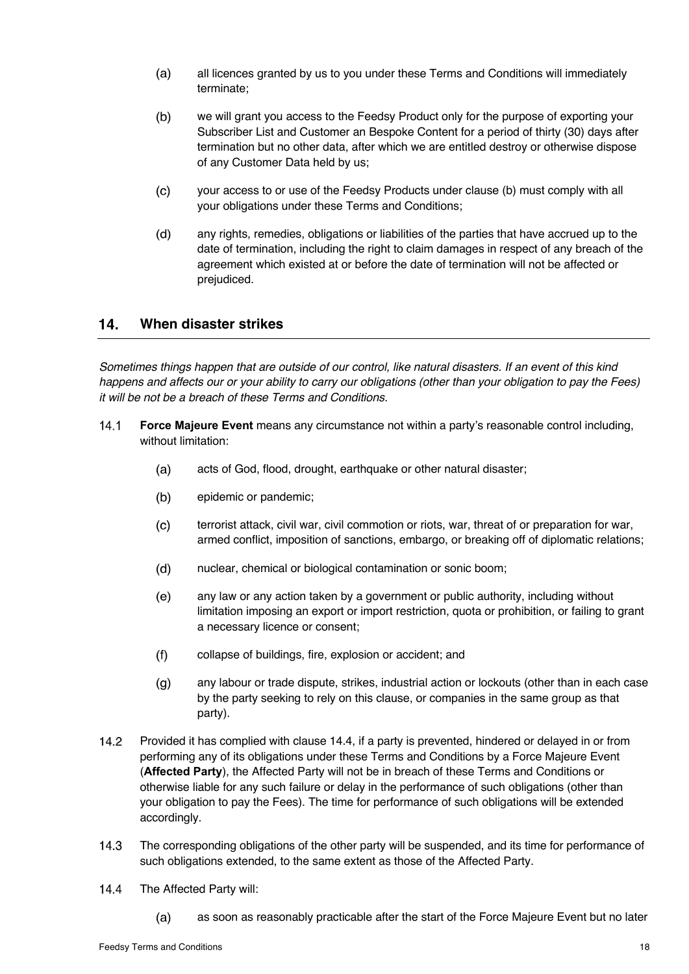- $(a)$ all licences granted by us to you under these Terms and Conditions will immediately terminate;
- $(b)$ we will grant you access to the Feedsy Product only for the purpose of exporting your Subscriber List and Customer an Bespoke Content for a period of thirty (30) days after termination but no other data, after which we are entitled destroy or otherwise dispose of any Customer Data held by us;
- $(c)$ your access to or use of the Feedsy Products under clause (b) must comply with all your obligations under these Terms and Conditions;
- $(d)$ any rights, remedies, obligations or liabilities of the parties that have accrued up to the date of termination, including the right to claim damages in respect of any breach of the agreement which existed at or before the date of termination will not be affected or prejudiced.

#### **When disaster strikes**   $14.$

*Sometimes things happen that are outside of our control, like natural disasters. If an event of this kind happens and affects our or your ability to carry our obligations (other than your obligation to pay the Fees) it will be not be a breach of these Terms and Conditions.*

- $14.1$ **Force Majeure Event** means any circumstance not within a party's reasonable control including, without limitation:
	- $(a)$ acts of God, flood, drought, earthquake or other natural disaster;
	- $(b)$ epidemic or pandemic;
	- $(c)$ terrorist attack, civil war, civil commotion or riots, war, threat of or preparation for war, armed conflict, imposition of sanctions, embargo, or breaking off of diplomatic relations;
	- $(d)$ nuclear, chemical or biological contamination or sonic boom;
	- $(e)$ any law or any action taken by a government or public authority, including without limitation imposing an export or import restriction, quota or prohibition, or failing to grant a necessary licence or consent;
	- $(f)$ collapse of buildings, fire, explosion or accident; and
	- $(q)$ any labour or trade dispute, strikes, industrial action or lockouts (other than in each case by the party seeking to rely on this clause, or companies in the same group as that party).
- $14.2$ Provided it has complied with clause 14.4, if a party is prevented, hindered or delayed in or from performing any of its obligations under these Terms and Conditions by a Force Majeure Event (**Affected Party**), the Affected Party will not be in breach of these Terms and Conditions or otherwise liable for any such failure or delay in the performance of such obligations (other than your obligation to pay the Fees). The time for performance of such obligations will be extended accordingly.
- $14.3$ The corresponding obligations of the other party will be suspended, and its time for performance of such obligations extended, to the same extent as those of the Affected Party.
- $14.4$ The Affected Party will:
	- $(a)$ as soon as reasonably practicable after the start of the Force Majeure Event but no later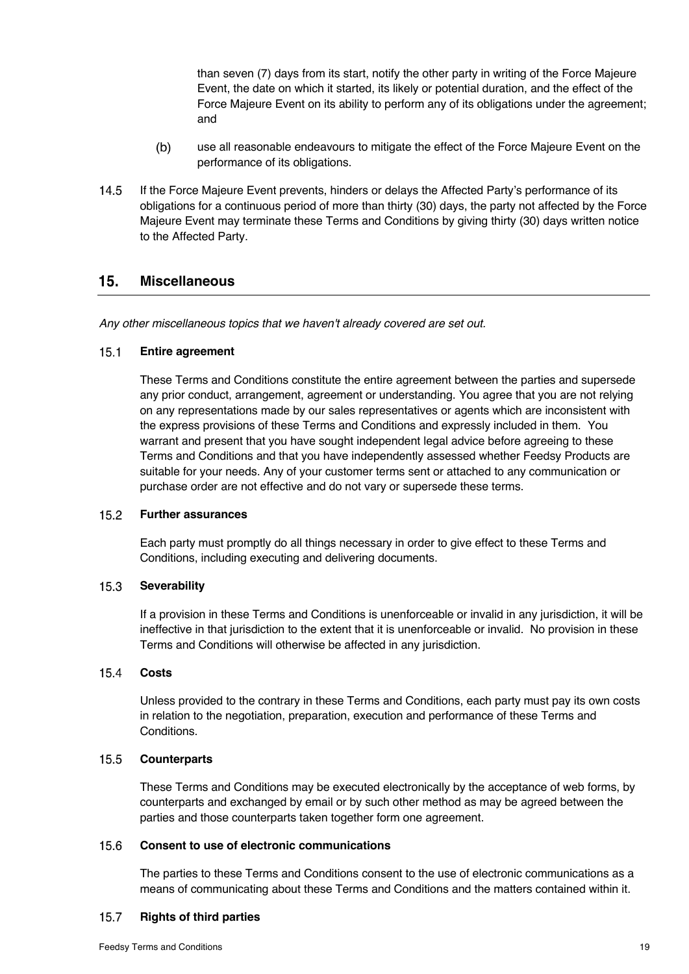than seven (7) days from its start, notify the other party in writing of the Force Majeure Event, the date on which it started, its likely or potential duration, and the effect of the Force Majeure Event on its ability to perform any of its obligations under the agreement; and

- $(b)$ use all reasonable endeavours to mitigate the effect of the Force Majeure Event on the performance of its obligations.
- 14.5 If the Force Majeure Event prevents, hinders or delays the Affected Party's performance of its obligations for a continuous period of more than thirty (30) days, the party not affected by the Force Majeure Event may terminate these Terms and Conditions by giving thirty (30) days written notice to the Affected Party.

#### $15.$ **Miscellaneous**

*Any other miscellaneous topics that we haven't already covered are set out.* 

#### $15.1$ **Entire agreement**

These Terms and Conditions constitute the entire agreement between the parties and supersede any prior conduct, arrangement, agreement or understanding. You agree that you are not relying on any representations made by our sales representatives or agents which are inconsistent with the express provisions of these Terms and Conditions and expressly included in them. You warrant and present that you have sought independent legal advice before agreeing to these Terms and Conditions and that you have independently assessed whether Feedsy Products are suitable for your needs. Any of your customer terms sent or attached to any communication or purchase order are not effective and do not vary or supersede these terms.

#### $15.2$ **Further assurances**

Each party must promptly do all things necessary in order to give effect to these Terms and Conditions, including executing and delivering documents.

#### $15.3$ **Severability**

If a provision in these Terms and Conditions is unenforceable or invalid in any jurisdiction, it will be ineffective in that jurisdiction to the extent that it is unenforceable or invalid. No provision in these Terms and Conditions will otherwise be affected in any jurisdiction.

#### $15.4$ **Costs**

Unless provided to the contrary in these Terms and Conditions, each party must pay its own costs in relation to the negotiation, preparation, execution and performance of these Terms and Conditions.

#### $15.5$ **Counterparts**

These Terms and Conditions may be executed electronically by the acceptance of web forms, by counterparts and exchanged by email or by such other method as may be agreed between the parties and those counterparts taken together form one agreement.

#### 15.6 **Consent to use of electronic communications**

The parties to these Terms and Conditions consent to the use of electronic communications as a means of communicating about these Terms and Conditions and the matters contained within it.

#### $15.7$ **Rights of third parties**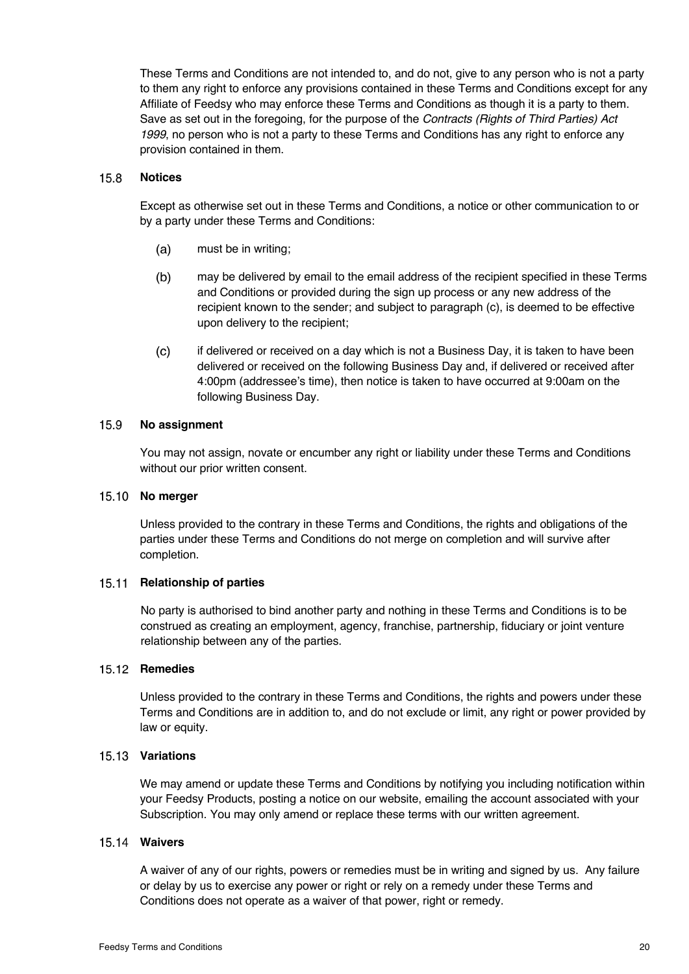These Terms and Conditions are not intended to, and do not, give to any person who is not a party to them any right to enforce any provisions contained in these Terms and Conditions except for any Affiliate of Feedsy who may enforce these Terms and Conditions as though it is a party to them. Save as set out in the foregoing, for the purpose of the *Contracts (Rights of Third Parties) Act 1999*, no person who is not a party to these Terms and Conditions has any right to enforce any provision contained in them.

#### $15.8$ **Notices**

Except as otherwise set out in these Terms and Conditions, a notice or other communication to or by a party under these Terms and Conditions:

- $(a)$ must be in writing;
- $(b)$ may be delivered by email to the email address of the recipient specified in these Terms and Conditions or provided during the sign up process or any new address of the recipient known to the sender; and subject to paragraph (c), is deemed to be effective upon delivery to the recipient;
- $(c)$ if delivered or received on a day which is not a Business Day, it is taken to have been delivered or received on the following Business Day and, if delivered or received after 4:00pm (addressee's time), then notice is taken to have occurred at 9:00am on the following Business Day.

#### 15.9 **No assignment**

You may not assign, novate or encumber any right or liability under these Terms and Conditions without our prior written consent.

### 15.10 No merger

Unless provided to the contrary in these Terms and Conditions, the rights and obligations of the parties under these Terms and Conditions do not merge on completion and will survive after completion.

### 15.11 **Relationship of parties**

No party is authorised to bind another party and nothing in these Terms and Conditions is to be construed as creating an employment, agency, franchise, partnership, fiduciary or joint venture relationship between any of the parties.

### 15.12 Remedies

Unless provided to the contrary in these Terms and Conditions, the rights and powers under these Terms and Conditions are in addition to, and do not exclude or limit, any right or power provided by law or equity.

### **Variations**

We may amend or update these Terms and Conditions by notifying you including notification within your Feedsy Products, posting a notice on our website, emailing the account associated with your Subscription. You may only amend or replace these terms with our written agreement.

### **Waivers**

A waiver of any of our rights, powers or remedies must be in writing and signed by us. Any failure or delay by us to exercise any power or right or rely on a remedy under these Terms and Conditions does not operate as a waiver of that power, right or remedy.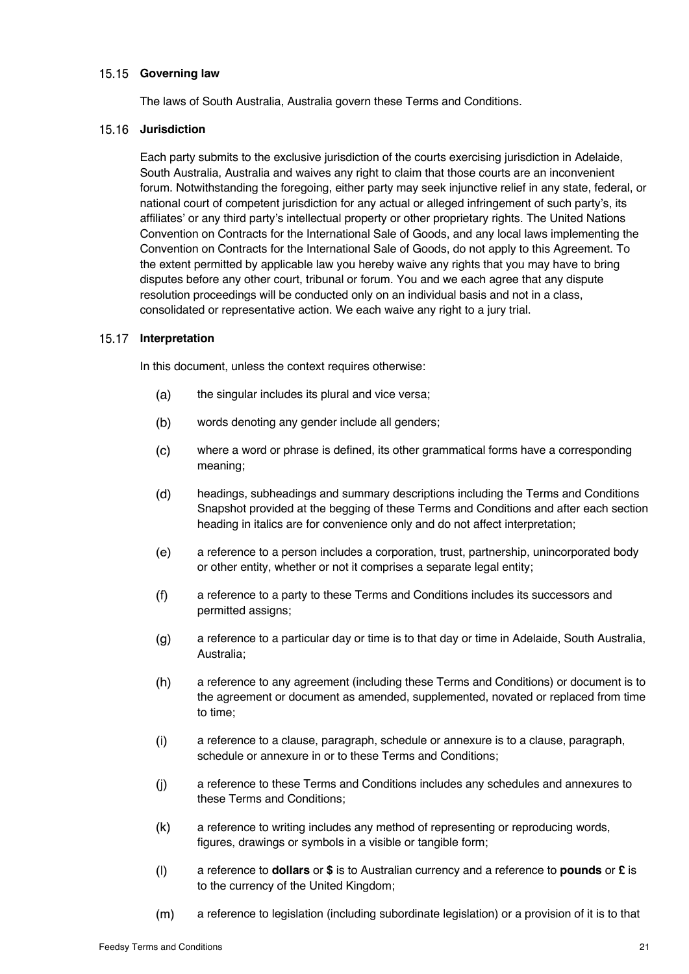### 15.15 Governing law

The laws of South Australia, Australia govern these Terms and Conditions.

### 15.16 **Jurisdiction**

Each party submits to the exclusive jurisdiction of the courts exercising jurisdiction in Adelaide, South Australia, Australia and waives any right to claim that those courts are an inconvenient forum. Notwithstanding the foregoing, either party may seek injunctive relief in any state, federal, or national court of competent jurisdiction for any actual or alleged infringement of such party's, its affiliates' or any third party's intellectual property or other proprietary rights. The United Nations Convention on Contracts for the International Sale of Goods, and any local laws implementing the Convention on Contracts for the International Sale of Goods, do not apply to this Agreement. To the extent permitted by applicable law you hereby waive any rights that you may have to bring disputes before any other court, tribunal or forum. You and we each agree that any dispute resolution proceedings will be conducted only on an individual basis and not in a class, consolidated or representative action. We each waive any right to a jury trial.

### 15.17 Interpretation

In this document, unless the context requires otherwise:

- the singular includes its plural and vice versa;  $(a)$
- $(b)$ words denoting any gender include all genders;
- $(c)$ where a word or phrase is defined, its other grammatical forms have a corresponding meaning;
- $(d)$ headings, subheadings and summary descriptions including the Terms and Conditions Snapshot provided at the begging of these Terms and Conditions and after each section heading in italics are for convenience only and do not affect interpretation;
- $(e)$ a reference to a person includes a corporation, trust, partnership, unincorporated body or other entity, whether or not it comprises a separate legal entity;
- $(f)$ a reference to a party to these Terms and Conditions includes its successors and permitted assigns;
- $(q)$ a reference to a particular day or time is to that day or time in Adelaide, South Australia, Australia;
- $(h)$ a reference to any agreement (including these Terms and Conditions) or document is to the agreement or document as amended, supplemented, novated or replaced from time to time;
- $(i)$ a reference to a clause, paragraph, schedule or annexure is to a clause, paragraph, schedule or annexure in or to these Terms and Conditions;
- $(i)$ a reference to these Terms and Conditions includes any schedules and annexures to these Terms and Conditions;
- $(k)$ a reference to writing includes any method of representing or reproducing words, figures, drawings or symbols in a visible or tangible form;
- $(1)$ a reference to **dollars** or **\$** is to Australian currency and a reference to **pounds** or **£** is to the currency of the United Kingdom;
- a reference to legislation (including subordinate legislation) or a provision of it is to that  $(m)$